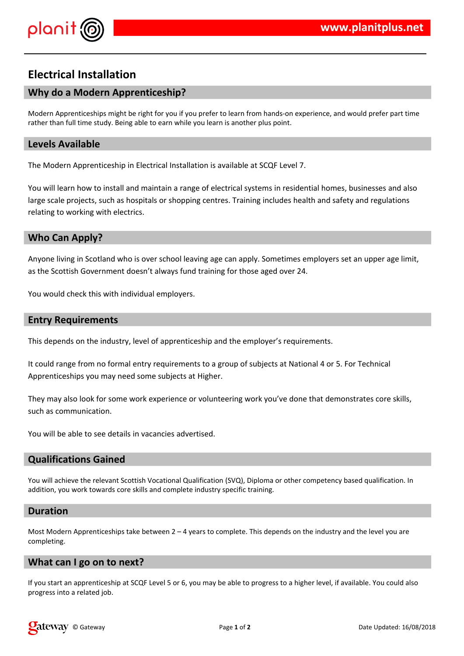



# **Electrical Installation**

# **Why do a Modern Apprenticeship?**

Modern Apprenticeships might be right for you if you prefer to learn from hands-on experience, and would prefer part time rather than full time study. Being able to earn while you learn is another plus point.

## **Levels Available**

The Modern Apprenticeship in Electrical Installation is available at SCQF Level 7.

You will learn how to install and maintain a range of electrical systems in residential homes, businesses and also large scale projects, such as hospitals or shopping centres. Training includes health and safety and regulations relating to working with electrics.

### **Who Can Apply?**

Anyone living in Scotland who is over school leaving age can apply. Sometimes employers set an upper age limit, as the Scottish Government doesn't always fund training for those aged over 24.

You would check this with individual employers.

#### **Entry Requirements**

This depends on the industry, level of apprenticeship and the employer's requirements.

It could range from no formal entry requirements to a group of subjects at National 4 or 5. For Technical Apprenticeships you may need some subjects at Higher.

They may also look for some work experience or volunteering work you've done that demonstrates core skills, such as communication.

You will be able to see details in vacancies advertised.

#### **Qualifications Gained**

You will achieve the relevant Scottish Vocational Qualification (SVQ), Diploma or other competency based qualification. In addition, you work towards core skills and complete industry specific training.

#### **Duration**

Most Modern Apprenticeships take between  $2 - 4$  years to complete. This depends on the industry and the level you are completing.

#### **What can I go on to next?**

If you start an apprenticeship at SCQF Level 5 or 6, you may be able to progress to a higher level, if available. You could also progress into a related job.